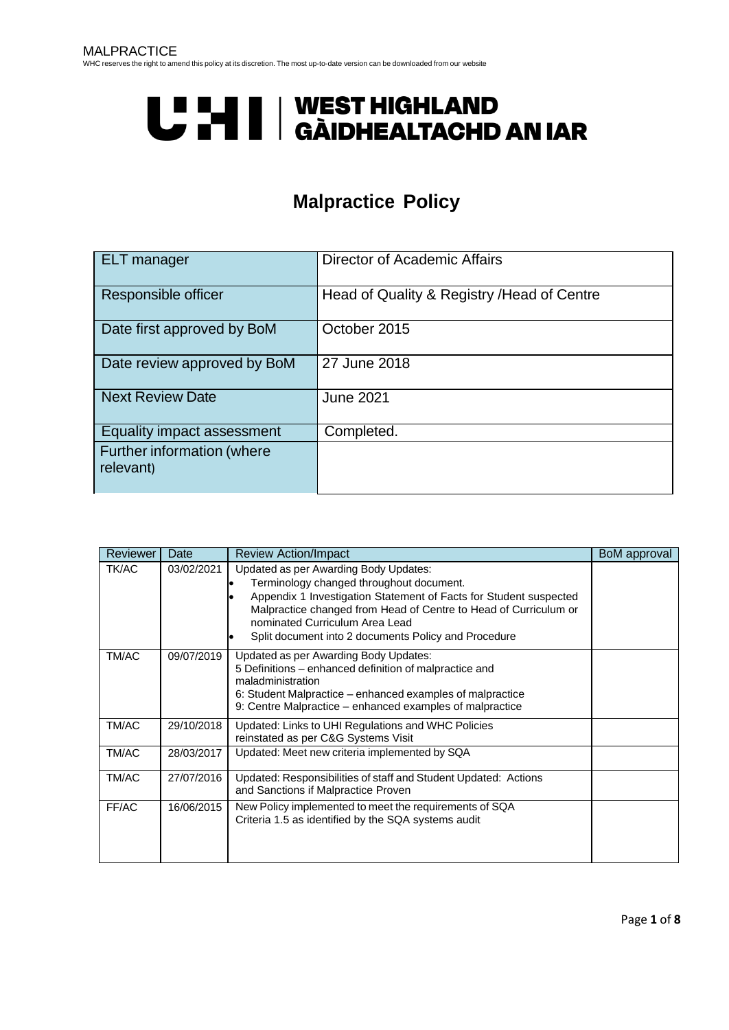# U LI II | WEST HIGHLAND<br>U LI | GÀIDHEALTACHD AN IAR

# **Malpractice Policy**

<span id="page-0-0"></span>

| <b>ELT</b> manager                      | Director of Academic Affairs                |
|-----------------------------------------|---------------------------------------------|
| Responsible officer                     | Head of Quality & Registry / Head of Centre |
| Date first approved by BoM              | October 2015                                |
| Date review approved by BoM             | 27 June 2018                                |
| <b>Next Review Date</b>                 | <b>June 2021</b>                            |
| Equality impact assessment              | Completed.                                  |
| Further information (where<br>relevant) |                                             |

| <b>Reviewer</b> | Date       | <b>Review Action/Impact</b>                                                                                                                                                                                                                                                                                          | BoM approval |
|-----------------|------------|----------------------------------------------------------------------------------------------------------------------------------------------------------------------------------------------------------------------------------------------------------------------------------------------------------------------|--------------|
| <b>TK/AC</b>    | 03/02/2021 | Updated as per Awarding Body Updates:<br>Terminology changed throughout document.<br>Appendix 1 Investigation Statement of Facts for Student suspected<br>Malpractice changed from Head of Centre to Head of Curriculum or<br>nominated Curriculum Area Lead<br>Split document into 2 documents Policy and Procedure |              |
| TM/AC           | 09/07/2019 | Updated as per Awarding Body Updates:<br>5 Definitions – enhanced definition of malpractice and<br>maladministration<br>6: Student Malpractice – enhanced examples of malpractice<br>9: Centre Malpractice – enhanced examples of malpractice                                                                        |              |
| TM/AC           | 29/10/2018 | Updated: Links to UHI Regulations and WHC Policies<br>reinstated as per C&G Systems Visit                                                                                                                                                                                                                            |              |
| TM/AC           | 28/03/2017 | Updated: Meet new criteria implemented by SQA                                                                                                                                                                                                                                                                        |              |
| TM/AC           | 27/07/2016 | Updated: Responsibilities of staff and Student Updated: Actions<br>and Sanctions if Malpractice Proven                                                                                                                                                                                                               |              |
| FF/AC           | 16/06/2015 | New Policy implemented to meet the requirements of SQA<br>Criteria 1.5 as identified by the SQA systems audit                                                                                                                                                                                                        |              |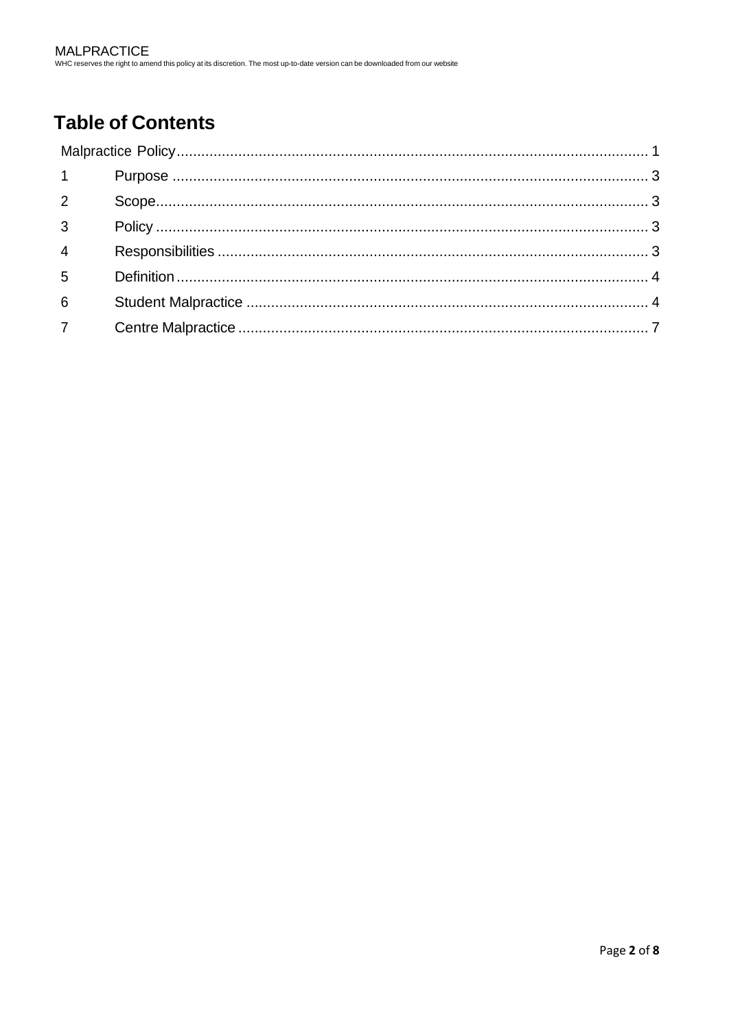# **Table of Contents**

| $1 \quad \blacksquare$ |  |
|------------------------|--|
| $\overline{2}$         |  |
| $3^{\circ}$            |  |
| $\overline{4}$         |  |
| $5^{\circ}$            |  |
| $6\overline{6}$        |  |
| 7 <sup>7</sup>         |  |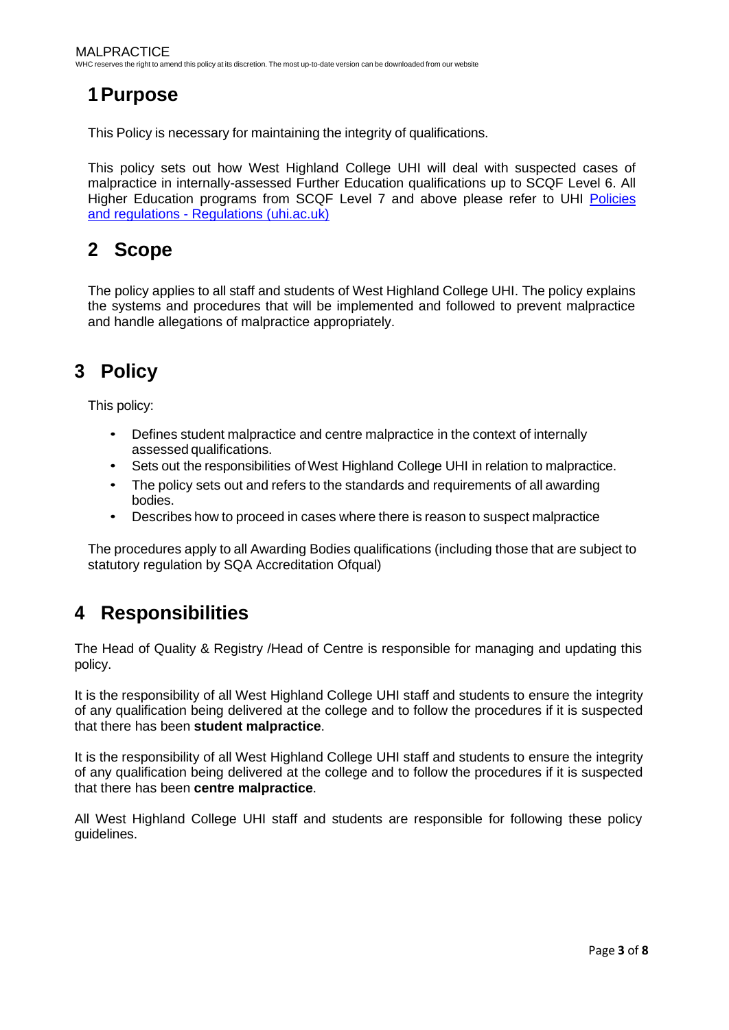## <span id="page-2-0"></span>**1Purpose**

This Policy is necessary for maintaining the integrity of qualifications.

This policy sets out how West Highland College UHI will deal with suspected cases of malpractice in internally-assessed Further Education qualifications up to SCQF Level 6. All Higher Education programs from SCQF Level 7 and above please refer to UHI [Policies](https://www.uhi.ac.uk/en/about-uhi/governance/policies-and-regulations/regulations/) and regulations - [Regulations \(uhi.ac.uk\)](https://www.uhi.ac.uk/en/about-uhi/governance/policies-and-regulations/regulations/)

## <span id="page-2-1"></span>**2 Scope**

The policy applies to all staff and students of West Highland College UHI. The policy explains the systems and procedures that will be implemented and followed to prevent malpractice and handle allegations of malpractice appropriately.

# <span id="page-2-2"></span>**3 Policy**

This policy:

- Defines student malpractice and centre malpractice in the context of internally assessed qualifications.
- Sets out the responsibilities of West Highland College UHI in relation to malpractice.
- The policy sets out and refers to the standards and requirements of all awarding bodies.
- Describes how to proceed in cases where there is reason to suspect malpractice

The procedures apply to all Awarding Bodies qualifications (including those that are subject to statutory regulation by SQA Accreditation Ofqual)

## <span id="page-2-3"></span>**4 Responsibilities**

The Head of Quality & Registry /Head of Centre is responsible for managing and updating this policy.

It is the responsibility of all West Highland College UHI staff and students to ensure the integrity of any qualification being delivered at the college and to follow the procedures if it is suspected that there has been **student malpractice**.

It is the responsibility of all West Highland College UHI staff and students to ensure the integrity of any qualification being delivered at the college and to follow the procedures if it is suspected that there has been **centre malpractice**.

All West Highland College UHI staff and students are responsible for following these policy guidelines.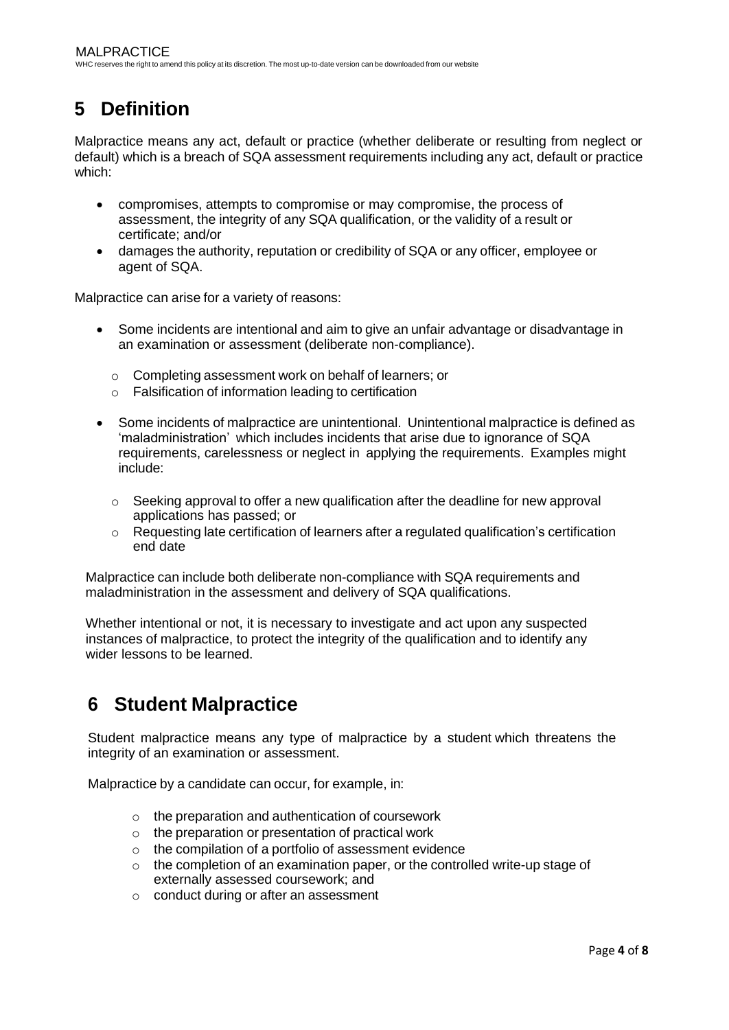# <span id="page-3-0"></span>**5 Definition**

Malpractice means any act, default or practice (whether deliberate or resulting from neglect or default) which is a breach of SQA assessment requirements including any act, default or practice which:

- compromises, attempts to compromise or may compromise, the process of assessment, the integrity of any SQA qualification, or the validity of a result or certificate; and/or
- damages the authority, reputation or credibility of SQA or any officer, employee or agent of SQA.

Malpractice can arise for a variety of reasons:

- Some incidents are intentional and aim to give an unfair advantage or disadvantage in an examination or assessment (deliberate non-compliance).
	- o Completing assessment work on behalf of learners; or
	- o Falsification of information leading to certification
- Some incidents of malpractice are unintentional. Unintentional malpractice is defined as 'maladministration' which includes incidents that arise due to ignorance of SQA requirements, carelessness or neglect in applying the requirements. Examples might include:
	- $\circ$  Seeking approval to offer a new qualification after the deadline for new approval applications has passed; or
	- $\circ$  Requesting late certification of learners after a regulated qualification's certification end date

Malpractice can include both deliberate non-compliance with SQA requirements and maladministration in the assessment and delivery of SQA qualifications.

Whether intentional or not, it is necessary to investigate and act upon any suspected instances of malpractice, to protect the integrity of the qualification and to identify any wider lessons to be learned.

## <span id="page-3-1"></span>**6 Student Malpractice**

Student malpractice means any type of malpractice by a student which threatens the integrity of an examination or assessment.

Malpractice by a candidate can occur, for example, in:

- $\circ$  the preparation and authentication of coursework
- o the preparation or presentation of practical work
- o the compilation of a portfolio of assessment evidence
- $\circ$  the completion of an examination paper, or the controlled write-up stage of externally assessed coursework; and
- o conduct during or after an assessment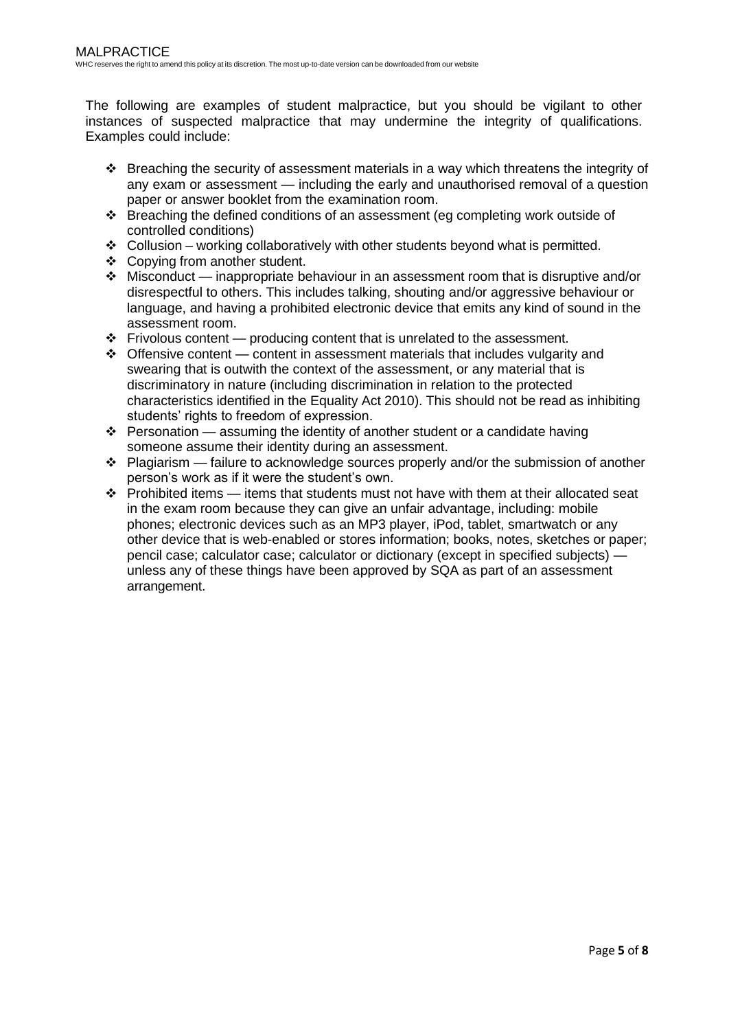The following are examples of student malpractice, but you should be vigilant to other instances of suspected malpractice that may undermine the integrity of qualifications. Examples could include:

- ❖ Breaching the security of assessment materials in a way which threatens the integrity of any exam or assessment — including the early and unauthorised removal of a question paper or answer booklet from the examination room.
- ❖ Breaching the defined conditions of an assessment (eg completing work outside of controlled conditions)
- $\triangleleft$  Collusion working collaboratively with other students beyond what is permitted.
- ❖ Copying from another student.
- $\cdot \cdot$  Misconduct inappropriate behaviour in an assessment room that is disruptive and/or disrespectful to others. This includes talking, shouting and/or aggressive behaviour or language, and having a prohibited electronic device that emits any kind of sound in the assessment room.
- $\div$  Frivolous content producing content that is unrelated to the assessment.
- $\div$  Offensive content content in assessment materials that includes vulgarity and swearing that is outwith the context of the assessment, or any material that is discriminatory in nature (including discrimination in relation to the protected characteristics identified in the Equality Act 2010). This should not be read as inhibiting students' rights to freedom of expression.
- ❖ Personation assuming the identity of another student or a candidate having someone assume their identity during an assessment.
- $\cdot \cdot$  Plagiarism failure to acknowledge sources properly and/or the submission of another person's work as if it were the student's own.
- $\cdot \cdot$  Prohibited items items that students must not have with them at their allocated seat in the exam room because they can give an unfair advantage, including: mobile phones; electronic devices such as an MP3 player, iPod, tablet, smartwatch or any other device that is web-enabled or stores information; books, notes, sketches or paper; pencil case; calculator case; calculator or dictionary (except in specified subjects) unless any of these things have been approved by SQA as part of an assessment arrangement.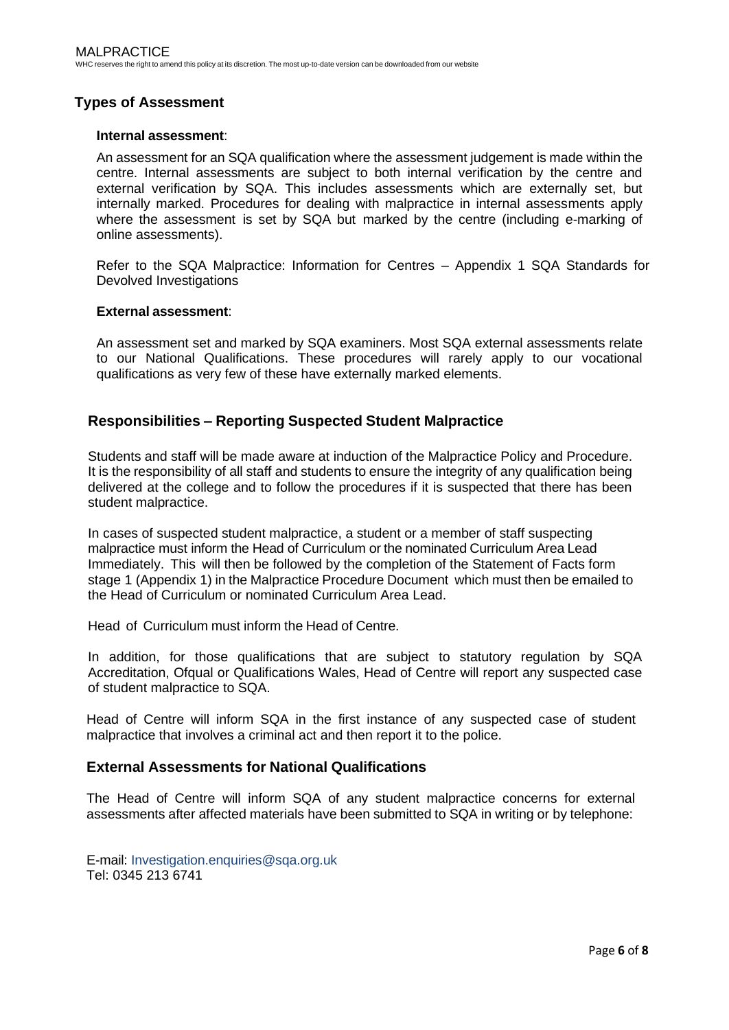## **Types of Assessment**

#### **Internal assessment**:

An assessment for an SQA qualification where the assessment judgement is made within the centre. Internal assessments are subject to both internal verification by the centre and external verification by SQA. This includes assessments which are externally set, but internally marked. Procedures for dealing with malpractice in internal assessments apply where the assessment is set by SQA but marked by the centre (including e-marking of online assessments).

Refer to the SQA Malpractice: Information for Centres – Appendix 1 SQA Standards for Devolved Investigations

#### **External assessment**:

An assessment set and marked by SQA examiners. Most SQA external assessments relate to our National Qualifications. These procedures will rarely apply to our vocational qualifications as very few of these have externally marked elements.

### **Responsibilities – Reporting Suspected Student Malpractice**

Students and staff will be made aware at induction of the Malpractice Policy and Procedure. It is the responsibility of all staff and students to ensure the integrity of any qualification being delivered at the college and to follow the procedures if it is suspected that there has been student malpractice.

In cases of suspected student malpractice, a student or a member of staff suspecting malpractice must inform the Head of Curriculum or the nominated Curriculum Area Lead Immediately. This will then be followed by the completion of the Statement of Facts form stage 1 (Appendix 1) in the Malpractice Procedure Document which must then be emailed to the Head of Curriculum or nominated Curriculum Area Lead.

Head of Curriculum must inform the Head of Centre.

In addition, for those qualifications that are subject to statutory regulation by SQA Accreditation, Ofqual or Qualifications Wales, Head of Centre will report any suspected case of student malpractice to SQA.

Head of Centre will inform SQA in the first instance of any suspected case of student malpractice that involves a criminal act and then report it to the police.

#### **External Assessments for National Qualifications**

The Head of Centre will inform SQA of any student malpractice concerns for external assessments after affected materials have been submitted to SQA in writing or by telephone:

E-mail: [Investigation.enquiries@sqa.org.uk](mailto:Investigation.enquiries@sqa.org.uk) Tel: 0345 213 6741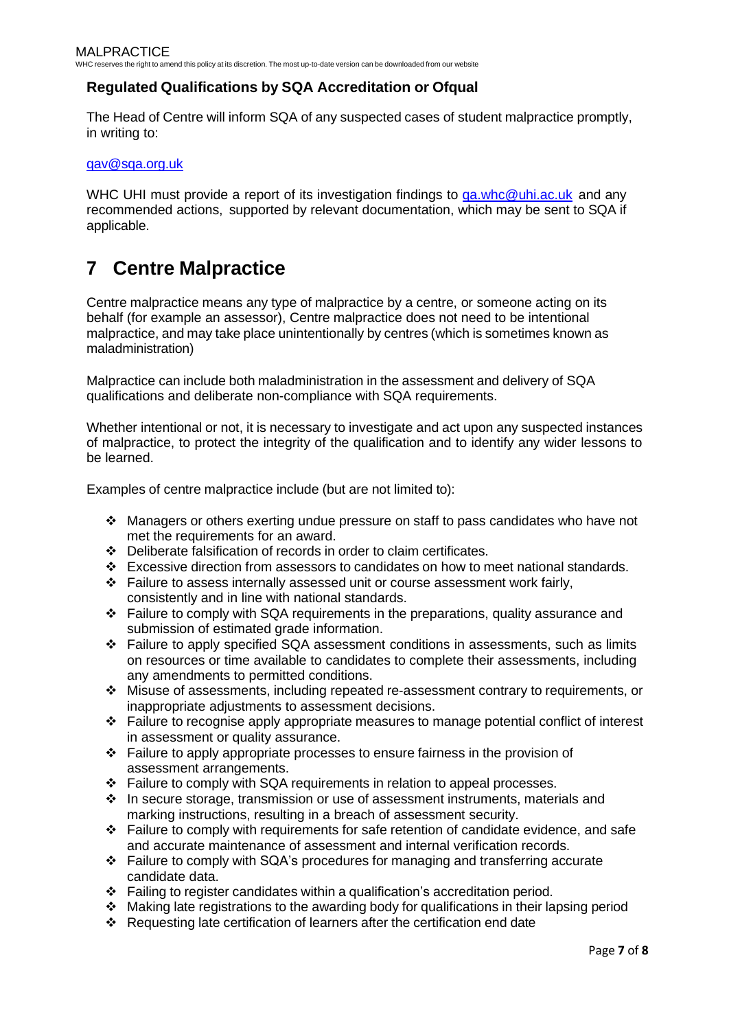## **Regulated Qualifications by SQA Accreditation or Ofqual**

The Head of Centre will inform SQA of any suspected cases of student malpractice promptly, in writing to:

[qav@sqa.org.uk](mailto:qav@sqa.org.uk)

WHC UHI must provide a report of its investigation findings to [qa.whc@uhi.ac.uk](mailto:qa.whc@uhi.ac.uk) and any recommended actions, supported by relevant documentation, which may be sent to SQA if applicable.

## <span id="page-6-0"></span>**7 Centre Malpractice**

Centre malpractice means any type of malpractice by a centre, or someone acting on its behalf (for example an assessor), Centre malpractice does not need to be intentional malpractice, and may take place unintentionally by centres (which is sometimes known as maladministration)

Malpractice can include both maladministration in the assessment and delivery of SQA qualifications and deliberate non-compliance with SQA requirements.

Whether intentional or not, it is necessary to investigate and act upon any suspected instances of malpractice, to protect the integrity of the qualification and to identify any wider lessons to be learned.

Examples of centre malpractice include (but are not limited to):

- ❖ Managers or others exerting undue pressure on staff to pass candidates who have not met the requirements for an award.
- ❖ Deliberate falsification of records in order to claim certificates.
- $\div$  Excessive direction from assessors to candidates on how to meet national standards.
- ❖ Failure to assess internally assessed unit or course assessment work fairly, consistently and in line with national standards.
- ❖ Failure to comply with SQA requirements in the preparations, quality assurance and submission of estimated grade information.
- ❖ Failure to apply specified SQA assessment conditions in assessments, such as limits on resources or time available to candidates to complete their assessments, including any amendments to permitted conditions.
- ❖ Misuse of assessments, including repeated re-assessment contrary to requirements, or inappropriate adjustments to assessment decisions.
- ❖ Failure to recognise apply appropriate measures to manage potential conflict of interest in assessment or quality assurance.
- ❖ Failure to apply appropriate processes to ensure fairness in the provision of assessment arrangements.
- ❖ Failure to comply with SQA requirements in relation to appeal processes.
- ❖ In secure storage, transmission or use of assessment instruments, materials and marking instructions, resulting in a breach of assessment security.
- ❖ Failure to comply with requirements for safe retention of candidate evidence, and safe and accurate maintenance of assessment and internal verification records.
- ❖ Failure to comply with SQA's procedures for managing and transferring accurate candidate data.
- ❖ Failing to register candidates within a qualification's accreditation period.
- ◆ Making late registrations to the awarding body for qualifications in their lapsing period
- ❖ Requesting late certification of learners after the certification end date